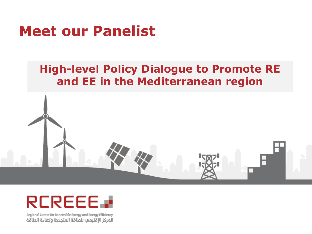# **Meet our Panelist**

#### **High-level Policy Dialogue to Promote RE and EE in the Mediterranean region**





Regional Center for Renewable Energy and Energy Efficiency المركز الإقليمب للطاقة المتجددة وكفاءة الطاقة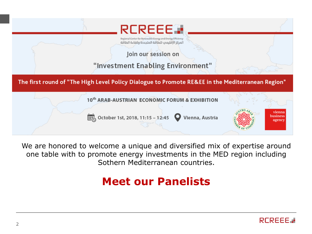

We are honored to welcome a unique and diversified mix of expertise around one table with to promote energy investments in the MED region including Sothern Mediterranean countries.

#### **Meet our Panelists**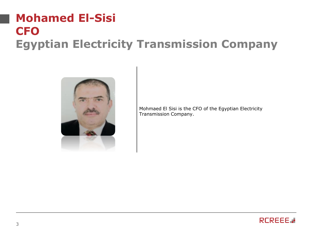#### **Mohamed El-Sisi CFO Egyptian Electricity Transmission Company**



Mohmaed El Sisi is the CFO of the Egyptian Electricity Transmission Company.

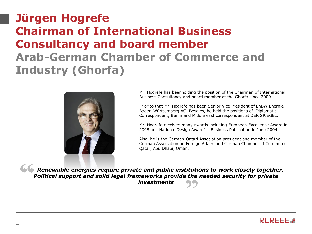#### **Jürgen Hogrefe Chairman of International Business Consultancy and board member Arab-German Chamber of Commerce and Industry (Ghorfa)**



Mr. Hogrefe has beenholding the position of the Chairman of International Business Consultancy and board member at the Ghorfa since 2009.

Prior to that Mr. Hogrefe has been Senior Vice President of EnBW Energie Baden-Württemberg AG. Besdies, he held the positions of Diplomatic Correspondent, Berlin and Middle east correspondent at DER SPIEGEL.

Mr. Hogrefe received many awards including European Excellence Award in 2008 and National Design Award" – Business Publication in June 2004.

Also, he is the German-Qatari Association president and member of the German Association on Foreign Affairs and German Chamber of Commerce Qatar, Abu Dhabi, Oman.

**S Renewable energies require private and public institutions to work closely together.** *Political support and solid legal frameworks provide the needed security for private investments*

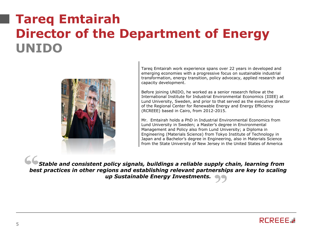## **Tareq Emtairah Director of the Department of Energy UNIDO**



Tareq Emtairah work experience spans over 22 years in developed and emerging economies with a progressive focus on sustainable industrial transformation, energy transition, policy advocacy, applied research and capacity development.

Before joining UNIDO, he worked as a senior research fellow at the International Institute for Industrial Environmental Economics (IIIEE) at Lund University, Sweden, and prior to that served as the executive director of the Regional Center for Renewable Energy and Energy Efficiency (RCREEE) based in Cairo, from 2012-2015.

Mr. Emtairah holds a PhD in Industrial Environmental Economics from Lund University in Sweden; a Master's degree in Environmental Management and Policy also from Lund University; a Diploma in Engineering (Materials Science) from Tokyo Institute of Technology in Japan and a Bachelor's degree in Engineering, also in Materials Science from the State University of New Jersey in the United States of America

*Stable and consistent policy signals, buildings a reliable supply chain, learning from best practices in other regions and establishing relevant partnerships are key to scaling up Sustainable Energy Investments.*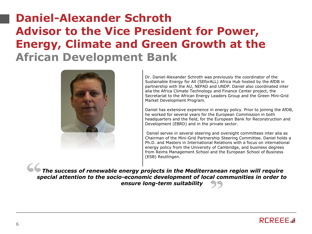#### **Daniel-Alexander Schroth Advisor to the Vice President for Power, Energy, Climate and Green Growth at the African Development Bank**



Dr. Daniel-Alexander Schroth was previously the coordinator of the Sustainable Energy for All (SEforALL) Africa Hub hosted by the AfDB in partnership with the AU, NEPAD and UNDP. Daniel also coordinated inter alia the Africa Climate Technology and Finance Center project, the Secretariat to the African Energy Leaders Group and the Green Mini-Grid Market Development Program.

Daniel has extensive experience in energy policy. Prior to joining the AfDB, he worked for several years for the European Commission in both headquarters and the field, for the European Bank for Reconstruction and Development (EBRD) and in the private sector.

Daniel serves in several steering and oversight committees inter alia as Chairman of the Mini-Grid Partnership Steering Committee. Daniel holds a Ph.D. and Masters in International Relations with a focus on international energy policy from the University of Cambridge, and business degrees from Reims Management School and the European School of Business (ESB) Reutlingen.

*The success of renewable energy projects in the Mediterranean region will require special attention to the socio-economic development of local communities in order to ensure long-term suitability*

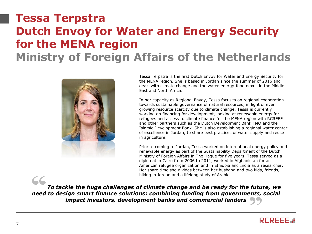#### **Tessa Terpstra Dutch Envoy for Water and Energy Security for the MENA region Ministry of Foreign Affairs of the Netherlands**



Tessa Terpstra is the first Dutch Envoy for Water and Energy Security for the MENA region. She is based in Jordan since the summer of 2016 and deals with climate change and the water-energy-food nexus in the Middle East and North Africa.

In her capacity as Regional Envoy, Tessa focuses on regional cooperation towards sustainable governance of natural resources, in light of ever growing resource scarcity due to climate change. Tessa is currently working on financing for development, looking at renewable energy for refugees and access to climate finance for the MENA region with RCREEE and other partners such as the Dutch Development Bank FMO and the Islamic Development Bank. She is also establishing a regional water center of excellence in Jordan, to share best practices of water supply and reuse in agriculture.

Prior to coming to Jordan, Tessa worked on international energy policy and renewable energy as part of the Sustainability Department of the Dutch Ministry of Foreign Affairs in The Hague for five years. Tessa served as a diplomat in Cairo from 2006 to 2011, worked in Afghanistan for an American refugee organization and in Ethiopia and India as a researcher. Her spare time she divides between her husband and two kids, friends, hiking in Jordan and a lifelong study of Arabic.

*To tackle the huge challenges of climate change and be ready for the future, we need to design smart finance solutions: combining funding from governments, social impact investors, development banks and commercial lenders*

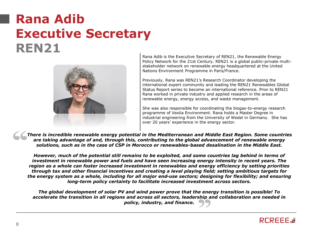### **Rana Adib Executive Secretary REN21**



Rana Adib is the Executive Secretary of REN21, the Renewable Energy Policy Network for the 21st Century. REN21 is a global public-private multistakeholder network on renewable energy headquartered at the United Nations Environment Programme in Paris/France.

Previously, Rana was REN21's Research Coordinator developing the international expert community and leading the REN21 Renewables Global Status Report series to become an international reference. Prior to REN21 Rana worked in private industry and applied research in the areas of renewable energy, energy access, and waste management.

She was also responsible for coordinating the biogas-to-energy research programme of Veolia Environment. Rana holds a Master Degree in industrial engineering from the University of Wedel in Germany. She has over 20 years' experience in the energy sector.

*There is incredible renewable energy potential in the Mediterranean and Middle East Region. Some countries are taking advantage of and, through this, contributing to the global advancement of renewable energy solutions, such as in the case of CSP in Morocco or renewables-based desalination in the Middle East.*

*However, much of the potential still remains to be exploited, and some countries lag behind in terms of investment in renewable power and fuels and have seen increasing energy intensity in recent years. The region as a whole can foster increased investment in renewables and energy efficiency by setting priorities through tax and other financial incentives and creating a level playing field; setting ambitious targets for the energy system as a whole, including for all major end-use sectors; designing for flexibility; and ensuring long-term policy certainty to facilitate increased investment across sectors.*

*The global development of solar PV and wind power prove that the energy transition is possible! To accelerate the transition in all regions and across all sectors, leadership and collaboration are needed in policy, industry, and finance.*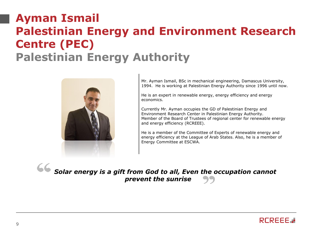#### **Ayman Ismail Palestinian Energy and Environment Research Centre (PEC) Palestinian Energy Authority**



Mr. Ayman Ismail, BSc in mechanical engineering, Damascus University, 1994. He is working at Palestinian Energy Authority since 1996 until now.

He is an expert in renewable energy, energy efficiency and energy economics.

Currently Mr. Ayman occupies the GD of Palestinian Energy and Environment Research Center in Palestinian Energy Authority. Member of the Board of Trustees of regional center for renewable energy and energy efficiency (RCREEE).

He is a member of the Committee of Experts of renewable energy and energy efficiency at the League of Arab States. Also, he is a member of Energy Committee at ESCWA.

*Solar energy is a gift from God to all, Even the occupation cannot prevent the sunrise* 

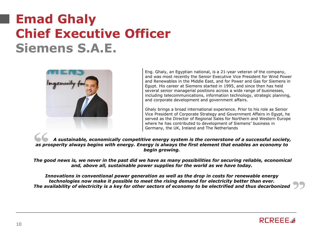## **Emad Ghaly Chief Executive Officer Siemens S.A.E.**



Eng. Ghaly, an Egyptian national, is a 21-year veteran of the company, and was most recently the Senior Executive Vice President for Wind Power and Renewables in the Middle East, and for Power and Gas for Siemens in Egypt. His career at Siemens started in 1995, and since then has held several senior managerial positions across a wide range of businesses, including telecommunications, information technology, strategic planning, and corporate development and government affairs.

Ghaly brings a broad international experience. Prior to his role as Senior Vice President of Corporate Strategy and Government Affairs in Egypt, he served as the Director of Regional Sales for Northern and Western Europe where he has contributed to development of Siemens' business in Germany, the UK, Ireland and The Netherlands

*A sustainable, economically competitive energy system is the cornerstone of a successful society, as prosperity always begins with energy. Energy is always the first element that enables an economy to begin growing.*

*The good news is, we never in the past did we have as many possibilities for securing reliable, economical and, above all, sustainable power supplies for the world as we have today.*

*Innovations in conventional power generation as well as the drop in costs for renewable energy technologies now make it possible to meet the rising demand for electricity better than ever. The availability of electricity is a key for other sectors of economy to be electrified and thus decarbonized*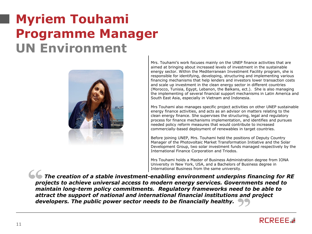## **Myriem Touhami Programme Manager UN Environment**



Mrs. Touhami's work focuses mainly on the UNEP finance activities that are aimed at bringing about increased levels of investment in the sustainable energy sector. Within the Mediterranean Investment Facility program, she is responsible for identifying, developing, structuring and implementing various financing mechanisms that help lenders and investors lower transaction costs and scale up investment in the clean energy sector in different countries (Morocco, Tunisia, Egypt, Lebanon, the Balkans, ect.). She is also managing the implementing of several financial support mechanisms in Latin America and South East Asia, especially in Vietnam and Indonesia.

Mrs Touhami also manages specific project activities on other UNEP sustainable energy finance activities, and acts as an advisor on matters relating to the clean energy finance. She supervises the structuring, legal and regulatory process for finance mechanisms implementation, and identifies and pursues needed policy reform measures that would contribute to increased commercially-based deployment of renewables in target countries.

Before joining UNEP, Mrs. Touhami held the positions of Deputy Country Manager of the Photovoltaic Market Transformation Initiative and the Solar Development Group, two solar investment funds managed respectively by the International Finance Corporation and Triodos.

Mrs Touhami holds a Master of Business Administration degree from IONA University in New York, USA, and a Bachelors of Business degree in International Business from the same university.

*The creation of a stable investment-enabling environment underpins financing for RE projects to achieve universal access to modern energy services. Governments need to maintain long-term policy commitments. Regulatory frameworks need to be able to attract the support of national and international financial institutions and project developers. The public power sector needs to be financially healthy.*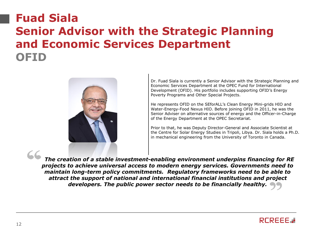#### **Fuad Siala Senior Advisor with the Strategic Planning and Economic Services Department OFID**



Dr. Fuad Siala is currently a Senior Advisor with the Strategic Planning and Economic Services Department at the OPEC Fund for International Development (OFID). His portfolio includes supporting OFID's Energy Poverty Programs and Other Special Projects.

He represents OFID on the SEforALL's Clean Energy Mini-grids HIO and Water-Energy-Food Nexus HIO. Before joining OFID in 2011, he was the Senior Adviser on alternative sources of energy and the Officer-in-Charge of the Energy Department at the OPEC Secretariat.

Prior to that, he was Deputy Director-General and Associate Scientist at the Centre for Solar Energy Studies in Tripoli, Libya. Dr. Siala holds a Ph.D. in mechanical engineering from the University of Toronto in Canada.

*The creation of a stable investment-enabling environment underpins financing for RE projects to achieve universal access to modern energy services. Governments need to maintain long-term policy commitments. Regulatory frameworks need to be able to attract the support of national and international financial institutions and project developers. The public power sector needs to be financially healthy.*

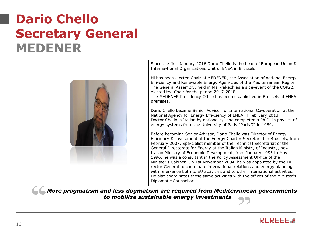## **Dario Chello Secretary General MEDENER**



Since the first January 2016 Dario Chello is the head of European Union & Interna-tional Organisations Unit of ENEA in Brussels.

Hi has been elected Chair of MEDENER, the Association of national Energy Effi-ciency and Renewable Energy Agen-cies of the Mediterranean Region. The General Assembly, held in Mar-rakech as a side-event of the COP22, elected the Chair for the period 2017-2018.

The MEDENER Presidency Office has been established in Brussels at ENEA premises.

Dario Chello became Senior Advisor for International Co-operation at the National Agency for Energy Effi-ciency of ENEA in February 2013. Doctor Chello is Italian by nationality, and completed a Ph.D. in physics of energy systems from the University of Paris "Paris 7" in 1989.

Before becoming Senior Advisor, Dario Chello was Director of Energy Efficiency & Investment at the Energy Charter Secretariat in Brussels, from February 2007. Spe-cialist member of the Technical Secretariat of the General Directorate for Energy at the Italian Ministry of Industry, now Italian Ministry of Economic Development, from January 1995 to May 1996, he was a consultant in the Policy Assessment Of-fice of the Minister's Cabinet. On 1st November 2004, he was appointed by the Director General to coordinate international relations and energy planning with refer-ence both to EU activities and to other international activities. He also coordinates these same activities with the offices of the Minister's Diplomatic Counsellor.

*More pragmatism and less dogmatism are required from Mediterranean governments to mobilize sustainable energy investments*

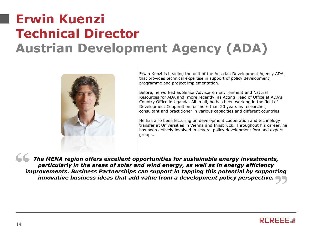## **Erwin Kuenzi Technical Director Austrian Development Agency (ADA)**



Erwin Künzi is heading the unit of the Austrian Development Agency ADA that provides technical expertise in support of policy development, programme and project implementation.

Before, he worked as Senior Advisor on Environment and Natural Resources for ADA and, more recently, as Acting Head of Office at ADA's Country Office in Uganda. All in all, he has been working in the field of Development Cooperation for more than 20 years as researcher, consultant and practitioner in various capacities and different countries.

He has also been lecturing on development cooperation and technology transfer at Universities in Vienna and Innsbruck. Throughout his career, he has been actively involved in several policy development fora and expert groups.

*The MENA region offers excellent opportunities for sustainable energy investments, particularly in the areas of solar and wind energy, as well as in energy efficiency improvements. Business Partnerships can support in tapping this potential by supporting innovative business ideas that add value from a development policy perspective.*

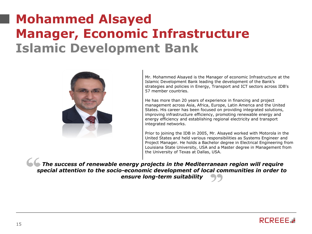## **Mohammed Alsayed Manager, Economic Infrastructure Islamic Development Bank**



Mr. Mohammed Alsayed is the Manager of economic Infrastructure at the Islamic Development Bank leading the development of the Bank's strategies and policies in Energy, Transport and ICT sectors across IDB's 57 member countries.

He has more than 20 years of experience in financing and project management across Asia, Africa, Europe, Latin America and the United States. His career has been focused on providing integrated solutions, improving infrastructure efficiency, promoting renewable energy and energy efficiency and establishing regional electricity and transport integrated networks.

Prior to joining the IDB in 2005, Mr. Alsayed worked with Motorola in the United States and held various responsibilities as Systems Engineer and Project Manager. He holds a Bachelor degree in Electrical Engineering from Louisiana State University, USA and a Master degree in Management from the University of Texas at Dallas, USA.

**The success of renewable energy projects in the Mediterranean region will require** *special attention to the socio-economic development of local communities in order to ensure long-term suitability*

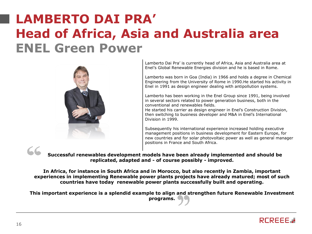## **LAMBERTO DAI PRA' Head of Africa, Asia and Australia area ENEL Green Power**



Lamberto Dai Pra' is currently head of Africa, Asia and Australia area at Enel's Global Renewable Energies division and he is based in Rome.

Lamberto was born in Goa (India) in 1966 and holds a degree in Chemical Engineering from the University of Rome in 1990.He started his activity in Enel in 1991 as design engineer dealing with antipollution systems.

Lamberto has been working in the Enel Group since 1991, being involved in several sectors related to power generation business, both in the conventional and renewables fields.

He started his carrier as design engineer in Enel's Construction Division, then switching to business developer and M&A in Enel's International Division in 1999.

Subsequently his international experience increased holding executive management positions in business development for Eastern Europe, for new countries and for solar photovoltaic power as well as general manager positions in France and South Africa.

#### **Successful renewables development models have been already implemented and should be replicated, adapted and - of course possibly - improved.**

**In Africa, for instance in South Africa and in Morocco, but also recently in Zambia, important experiences in implementing Renewable power plants projects have already matured; most of such countries have today renewable power plants successfully built and operating.** 

**This important experience is a splendid example to align and strengthen future Renewable Investment programs.**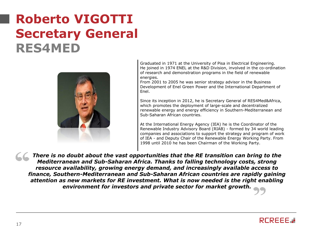## **Roberto VIGOTTI Secretary General RES4MED**



Graduated in 1971 at the University of Pisa in Electrical Engineering. He joined in 1974 ENEL at the R&D Division, involved in the co-ordination of research and demonstration programs in the field of renewable energies.

From 2001 to 2005 he was senior strategy advisor in the Business Development of Enel Green Power and the International Department of Enel.

Since its inception in 2012, he is Secretary General of RES4Med&Africa, which promotes the deployment of large-scale and decentralized renewable energy and energy efficiency in Southern-Mediterranean and Sub-Saharan African countries.

At the International Energy Agency (IEA) he is the Coordinator of the Renewable Industry Advisory Board (RIAB) - formed by 34 world leading companies and associations to support the strategy and program of work of IEA - and Deputy Chair of the Renewable Energy Working Party. From 1998 until 2010 he has been Chairman of the Working Party.

*There is no doubt about the vast opportunities that the RE transition can bring to the Mediterranean and Sub-Saharan Africa. Thanks to falling technology costs, strong resource availability, growing energy demand, and increasingly available access to finance, Southern-Mediterranean and Sub-Saharan African countries are rapidly gaining attention as new markets for RE investment. What is now needed is the right enabling environment for investors and private sector for market growth.* 

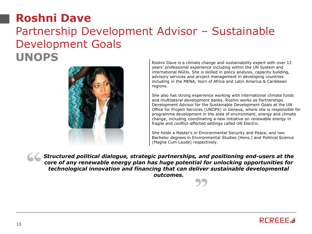#### **Roshni Dave** Partnership Development Advisor – Sustainable Development Goals **UNOPS** Roshni Dave is a climate change and sustainability expert with over 12



years' professional experience including within the UN System and international NGOs. She is skilled in policy analysis, capacity building, advisory services and project management in developing countries including in the MENA, Horn of Africa and Latin America & Caribbean regions.

She also has strong experience working with international climate funds and multilateral development banks. Roshni works as Partnerships Development Advisor for the Sustainable Development Goals at the UN Office for Project Services (UNOPS) in Geneva, where she is responsible for programme development in the area of environment, energy and climate change, including coordinating a new initiative on renewable energy in fragile and conflict-affected settings called UN Electric.

She holds a Master's in Environmental Security and Peace, and two Bachelor degrees in Environmental Studies (Hons.) and Political Science (Magna Cum Laude) respectively.

*Structured political dialogue, strategic partnerships, and positioning end-users at the core of any renewable energy plan has huge potential for unlocking opportunities for technological innovation and financing that can deliver sustainable developmental outcomes.*

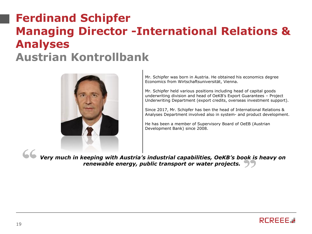#### **Ferdinand Schipfer Managing Director -International Relations & Analyses Austrian Kontrollbank**



Mr. Schipfer was born in Austria. He obtained his economics degree Economics from Wirtschaftsuniversität, Vienna.

Mr. Schipfer held various positions including head of capital goods underwriting division and head of OeKB's Export Guarantees – Project Underwriting Department (export credits, overseas investment support).

Since 2017, Mr. Schipfer has ben the head of International Relations & Analyses Department involved also in system- and product development.

He has been a member of Supervisory Board of OeEB (Austrian Development Bank) since 2008.

*Very much in keeping with Austria's industrial capabilities, OeKB's book is heavy on renewable energy, public transport or water projects.*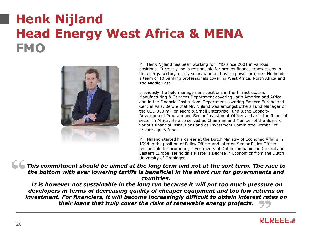## **Henk Nijland Head Energy West Africa & MENA FMO**



Mr. Henk Nijland has been working for FMO since 2001 in various positions. Currently, he is responsible for project finance transactions in the energy sector, mainly solar, wind and hydro power projects. He heads a team of 10 banking professionals covering West Africa, North Africa and The Middle East.

previously, he held management positions in the Infrastructure, Manufacturing & Services Department covering Latin America and Africa and in the Financial Institutions Department covering Eastern Europe and Central Asia. Before that Mr. Nijland was amongst others Fund Manager of the USD 300 million Micro & Small Enterprise Fund & the Capacity Development Program and Senior Investment Officer active in the financial sector in Africa. He also served as Chairman and Member of the Board of various financial institutions and as Investment Committee Member of private equity funds.

Mr. Nijland started his career at the Dutch Ministry of Economic Affairs in 1994 in the position of Policy Officer and later on Senior Policy Officer responsible for promoting investments of Dutch companies in Central and Eastern Europe. He holds a Master's Degree in Economics from the Dutch University of Groningen.

*This commitment should be aimed at the long term and not at the sort term. The race to the bottom with ever lowering tariffs is beneficial in the short run for governments and countries.*

*It is however not sustainable in the long run because it will put too much pressure on developers in terms of decreasing quality of cheaper equipment and too low returns on investment. For financiers, it will become increasingly difficult to obtain interest rates on their loans that truly cover the risks of renewable energy projects.* 

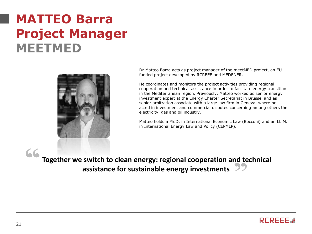## **MATTEO Barra Project Manager MEETMED**



Dr Matteo Barra acts as project manager of the meetMED project, an EUfunded project developed by RCREEE and MEDENER.

He coordinates and monitors the project activities providing regional cooperation and technical assistance in order to facilitate energy transition in the Mediterranean region. Previously, Matteo worked as senior energy investment expert at the Energy Charter Secretariat in Brussel and as senior arbitration associate with a large law firm in Geneva, where he acted in investment and commercial disputes concerning among others the electricity, gas and oil industry.

Matteo holds a Ph.D. in International Economic Law (Bocconi) and an LL.M. in International Energy Law and Policy (CEPMLP).

**Together we switch to clean energy: regional cooperation and technical assistance for sustainable energy investments**

 $cc$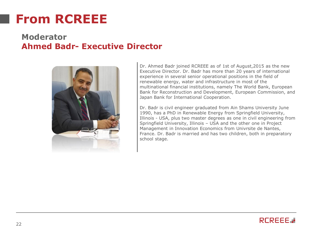### **From RCREEE**

#### **Moderator Ahmed Badr- Executive Director**



Dr. Ahmed Badr joined RCREEE as of 1st of August,2015 as the new Executive Director. Dr. Badr has more than 20 years of international experience in several senior operational positions in the field of renewable energy, water and infrastructure in most of the multinational financial institutions, namely The World Bank, European Bank for Reconstruction and Development, European Commission, and Japan Bank for International Cooperation.

Dr. Badr is civil engineer graduated from Ain Shams University June 1990, has a PhD in Renewable Energy from Springfield University, Illinois - USA, plus two master degrees as one in civil engineering from Springfield University, Illinois – USA and the other one in Project Management in Innovation Economics from Univrsite de Nantes, France. Dr. Badr is married and has two children, both in preparatory school stage.